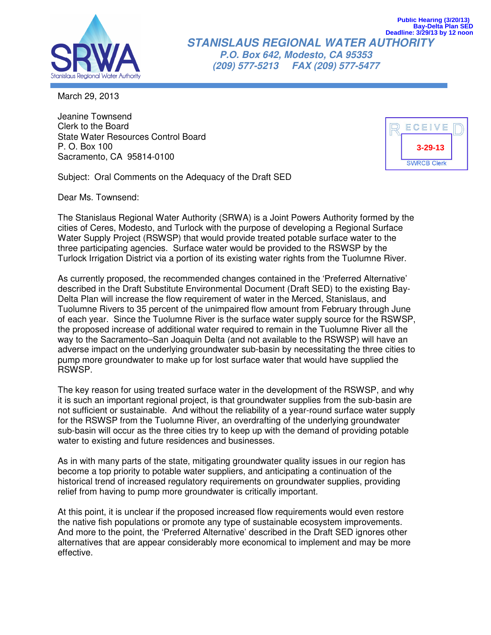

**STANISLAUS REGIONAL WATER AUTHORITY P.O. Box 642, Modesto, CA 95353 (209) 577-5213 FAX (209) 577-5477 Bay-Delta Plan SED Deadline: 3/29/13 by 12 noon**

March 29, 2013

Jeanine Townsend Clerk to the Board State Water Resources Control Board P. O. Box 100 Sacramento, CA 95814-0100



**Public Hearing (3/20/13)**

Subject: Oral Comments on the Adequacy of the Draft SED

Dear Ms. Townsend:

The Stanislaus Regional Water Authority (SRWA) is a Joint Powers Authority formed by the cities of Ceres, Modesto, and Turlock with the purpose of developing a Regional Surface Water Supply Project (RSWSP) that would provide treated potable surface water to the three participating agencies. Surface water would be provided to the RSWSP by the Turlock Irrigation District via a portion of its existing water rights from the Tuolumne River.

As currently proposed, the recommended changes contained in the 'Preferred Alternative' described in the Draft Substitute Environmental Document (Draft SED) to the existing Bay-Delta Plan will increase the flow requirement of water in the Merced, Stanislaus, and Tuolumne Rivers to 35 percent of the unimpaired flow amount from February through June of each year. Since the Tuolumne River is the surface water supply source for the RSWSP, the proposed increase of additional water required to remain in the Tuolumne River all the way to the Sacramento–San Joaquin Delta (and not available to the RSWSP) will have an adverse impact on the underlying groundwater sub-basin by necessitating the three cities to pump more groundwater to make up for lost surface water that would have supplied the RSWSP.

The key reason for using treated surface water in the development of the RSWSP, and why it is such an important regional project, is that groundwater supplies from the sub-basin are not sufficient or sustainable. And without the reliability of a year-round surface water supply for the RSWSP from the Tuolumne River, an overdrafting of the underlying groundwater sub-basin will occur as the three cities try to keep up with the demand of providing potable water to existing and future residences and businesses.

As in with many parts of the state, mitigating groundwater quality issues in our region has become a top priority to potable water suppliers, and anticipating a continuation of the historical trend of increased regulatory requirements on groundwater supplies, providing relief from having to pump more groundwater is critically important.

At this point, it is unclear if the proposed increased flow requirements would even restore the native fish populations or promote any type of sustainable ecosystem improvements. And more to the point, the 'Preferred Alternative' described in the Draft SED ignores other alternatives that are appear considerably more economical to implement and may be more effective.